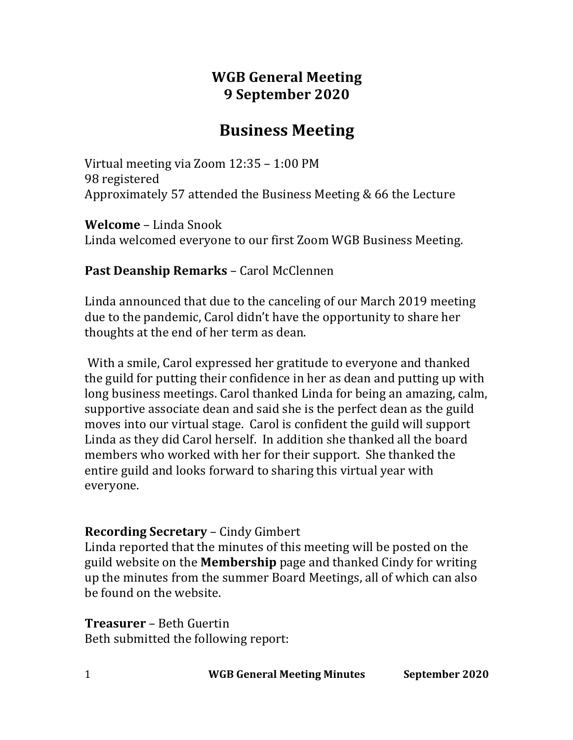# **WGB General Meeting 9 September 2020**

# **Business Meeting**

Virtual meeting via Zoom  $12:35 - 1:00 \text{ PM}$ 98 registered Approximately 57 attended the Business Meeting & 66 the Lecture

**Welcome** – Linda Snook Linda welcomed everyone to our first Zoom WGB Business Meeting.

# **Past Deanship Remarks** – Carol McClennen

Linda announced that due to the canceling of our March 2019 meeting due to the pandemic, Carol didn't have the opportunity to share her thoughts at the end of her term as dean.

With a smile, Carol expressed her gratitude to everyone and thanked the guild for putting their confidence in her as dean and putting up with long business meetings. Carol thanked Linda for being an amazing, calm, supportive associate dean and said she is the perfect dean as the guild moves into our virtual stage. Carol is confident the guild will support Linda as they did Carol herself. In addition she thanked all the board members who worked with her for their support. She thanked the entire guild and looks forward to sharing this virtual year with everyone. 

# **Recording Secretary** – Cindy Gimbert

Linda reported that the minutes of this meeting will be posted on the guild website on the **Membership** page and thanked Cindy for writing up the minutes from the summer Board Meetings, all of which can also be found on the website.

**Treasurer** – Beth Guertin Beth submitted the following report:

1 **WGB General Meeting Minutes September 2020**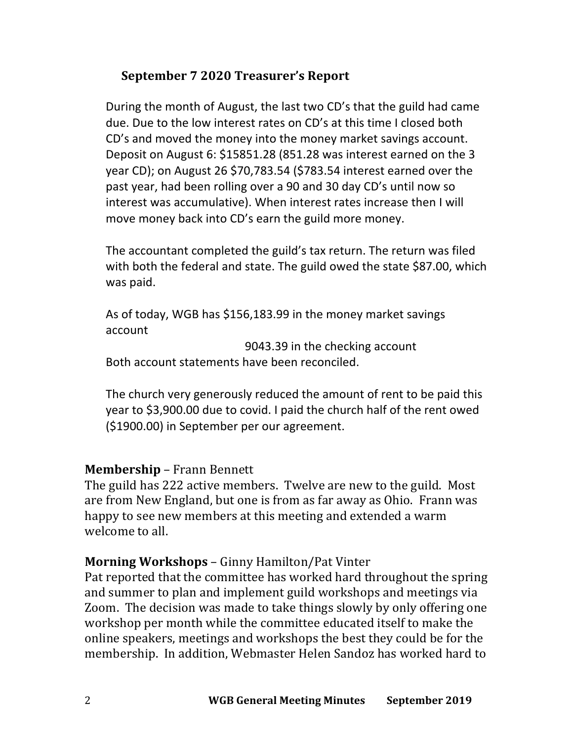# **September 7 2020 Treasurer's Report**

During the month of August, the last two CD's that the guild had came due. Due to the low interest rates on CD's at this time I closed both CD's and moved the money into the money market savings account. Deposit on August 6: \$15851.28 (851.28 was interest earned on the 3 year CD); on August 26 \$70,783.54 (\$783.54 interest earned over the past year, had been rolling over a 90 and 30 day CD's until now so interest was accumulative). When interest rates increase then I will move money back into CD's earn the guild more money.

The accountant completed the guild's tax return. The return was filed with both the federal and state. The guild owed the state \$87.00, which was paid.

As of today, WGB has \$156,183.99 in the money market savings account

9043.39 in the checking account Both account statements have been reconciled.

The church very generously reduced the amount of rent to be paid this year to \$3,900.00 due to covid. I paid the church half of the rent owed (\$1900.00) in September per our agreement.

## **Membership** – Frann Bennett

The guild has 222 active members. Twelve are new to the guild. Most are from New England, but one is from as far away as Ohio. Frann was happy to see new members at this meeting and extended a warm welcome to all.

## **Morning Workshops** – Ginny Hamilton/Pat Vinter

Pat reported that the committee has worked hard throughout the spring and summer to plan and implement guild workshops and meetings via Zoom. The decision was made to take things slowly by only offering one workshop per month while the committee educated itself to make the online speakers, meetings and workshops the best they could be for the membership. In addition, Webmaster Helen Sandoz has worked hard to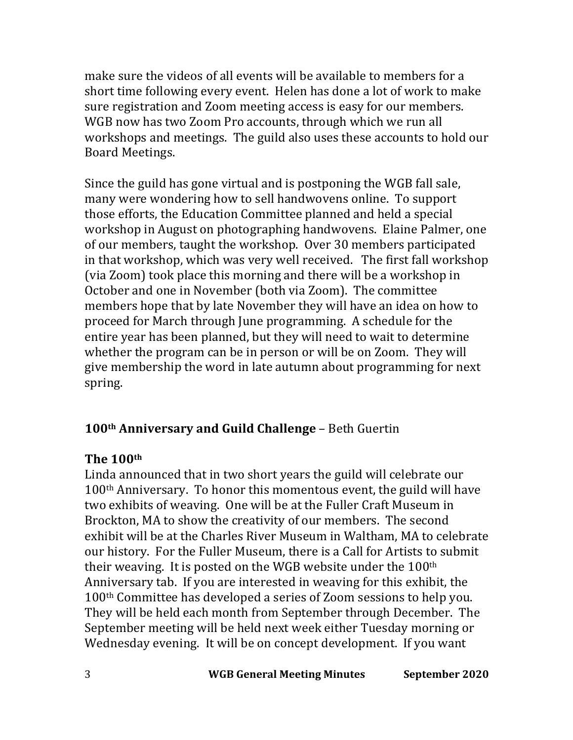make sure the videos of all events will be available to members for a short time following every event. Helen has done a lot of work to make sure registration and Zoom meeting access is easy for our members. WGB now has two Zoom Pro accounts, through which we run all workshops and meetings. The guild also uses these accounts to hold our Board Meetings. 

Since the guild has gone virtual and is postponing the WGB fall sale, many were wondering how to sell handwovens online. To support those efforts, the Education Committee planned and held a special workshop in August on photographing handwovens. Elaine Palmer, one of our members, taught the workshop. Over 30 members participated in that workshop, which was very well received. The first fall workshop (via Zoom) took place this morning and there will be a workshop in October and one in November (both via Zoom). The committee members hope that by late November they will have an idea on how to proceed for March through June programming. A schedule for the entire year has been planned, but they will need to wait to determine whether the program can be in person or will be on Zoom. They will give membership the word in late autumn about programming for next spring.

# 100<sup>th</sup> Anniversary and Guild Challenge - Beth Guertin

#### **The 100th**

Linda announced that in two short years the guild will celebrate our  $100<sup>th</sup>$  Anniversary. To honor this momentous event, the guild will have two exhibits of weaving. One will be at the Fuller Craft Museum in Brockton, MA to show the creativity of our members. The second exhibit will be at the Charles River Museum in Waltham, MA to celebrate our history. For the Fuller Museum, there is a Call for Artists to submit their weaving. It is posted on the WGB website under the  $100<sup>th</sup>$ Anniversary tab. If you are interested in weaving for this exhibit, the 100<sup>th</sup> Committee has developed a series of Zoom sessions to help you. They will be held each month from September through December. The September meeting will be held next week either Tuesday morning or Wednesday evening. It will be on concept development. If you want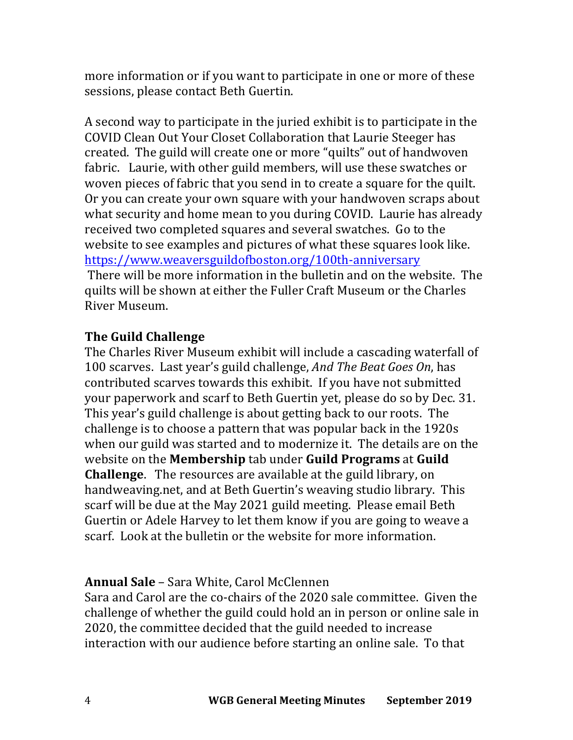more information or if you want to participate in one or more of these sessions, please contact Beth Guertin.

A second way to participate in the juried exhibit is to participate in the COVID Clean Out Your Closet Collaboration that Laurie Steeger has created. The guild will create one or more "quilts" out of handwoven fabric. Laurie, with other guild members, will use these swatches or woven pieces of fabric that you send in to create a square for the quilt. Or you can create your own square with your handwoven scraps about what security and home mean to you during COVID. Laurie has already received two completed squares and several swatches. Go to the website to see examples and pictures of what these squares look like. https://www.weaversguildofboston.org/100th-anniversary There will be more information in the bulletin and on the website. The quilts will be shown at either the Fuller Craft Museum or the Charles River Museum.

#### **The Guild Challenge**

The Charles River Museum exhibit will include a cascading waterfall of 100 scarves. Last year's guild challenge, *And The Beat Goes On*, has contributed scarves towards this exhibit. If you have not submitted your paperwork and scarf to Beth Guertin yet, please do so by Dec. 31. This year's guild challenge is about getting back to our roots. The challenge is to choose a pattern that was popular back in the 1920s when our guild was started and to modernize it. The details are on the website on the **Membership** tab under **Guild Programs** at **Guild Challenge.** The resources are available at the guild library, on handweaving.net, and at Beth Guertin's weaving studio library. This scarf will be due at the May 2021 guild meeting. Please email Beth Guertin or Adele Harvey to let them know if you are going to weave a scarf. Look at the bulletin or the website for more information.

## **Annual Sale** – Sara White, Carol McClennen

Sara and Carol are the co-chairs of the 2020 sale committee. Given the challenge of whether the guild could hold an in person or online sale in 2020, the committee decided that the guild needed to increase interaction with our audience before starting an online sale. To that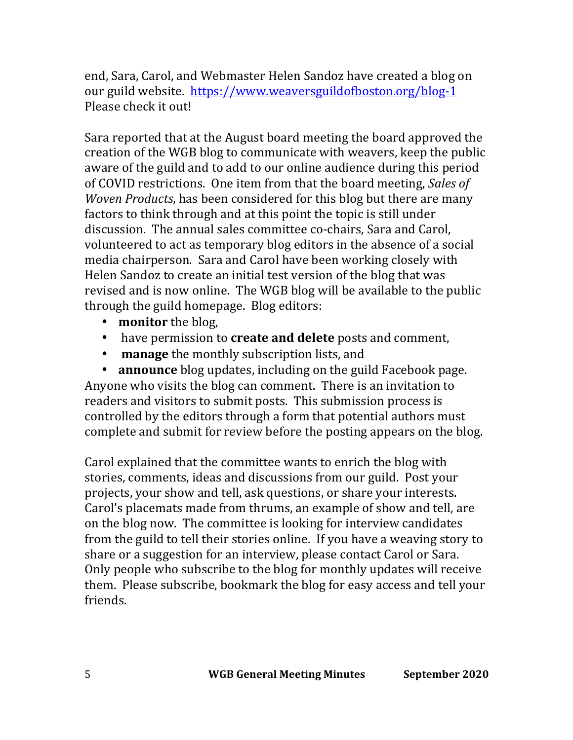end, Sara, Carol, and Webmaster Helen Sandoz have created a blog on our guild website. https://www.weaversguildofboston.org/blog-1 Please check it out!

Sara reported that at the August board meeting the board approved the creation of the WGB blog to communicate with weavers, keep the public aware of the guild and to add to our online audience during this period of COVID restrictions. One item from that the board meeting, *Sales of Woven Products*, has been considered for this blog but there are many factors to think through and at this point the topic is still under discussion. The annual sales committee co-chairs, Sara and Carol, volunteered to act as temporary blog editors in the absence of a social media chairperson. Sara and Carol have been working closely with Helen Sandoz to create an initial test version of the blog that was revised and is now online. The WGB blog will be available to the public through the guild homepage. Blog editors:

- **monitor** the blog,
- have permission to **create and delete** posts and comment,
- manage the monthly subscription lists, and

• **announce** blog updates, including on the guild Facebook page. Anyone who visits the blog can comment. There is an invitation to readers and visitors to submit posts. This submission process is controlled by the editors through a form that potential authors must complete and submit for review before the posting appears on the blog.

Carol explained that the committee wants to enrich the blog with stories, comments, ideas and discussions from our guild. Post your projects, your show and tell, ask questions, or share your interests. Carol's placemats made from thrums, an example of show and tell, are on the blog now. The committee is looking for interview candidates from the guild to tell their stories online. If you have a weaving story to share or a suggestion for an interview, please contact Carol or Sara. Only people who subscribe to the blog for monthly updates will receive them. Please subscribe, bookmark the blog for easy access and tell your friends.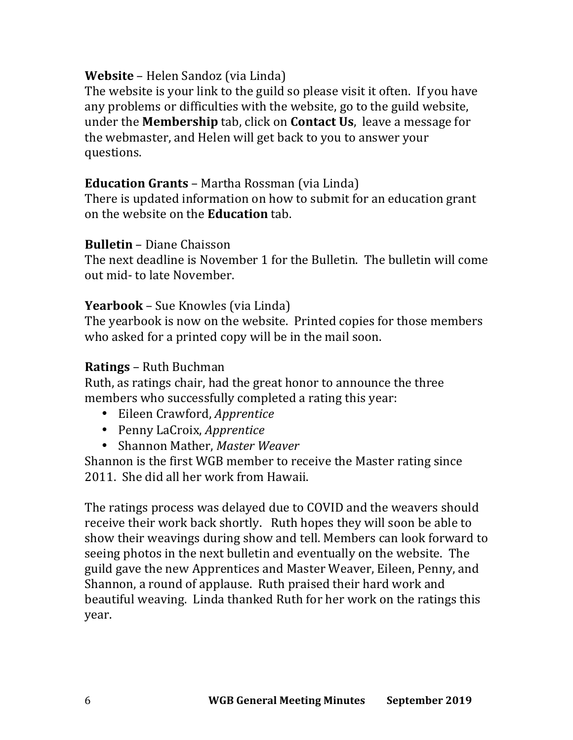# **Website** – Helen Sandoz (via Linda)

The website is your link to the guild so please visit it often. If you have any problems or difficulties with the website, go to the guild website, under the **Membership** tab, click on **Contact Us**, leave a message for the webmaster, and Helen will get back to you to answer your questions.

#### **Education Grants** – Martha Rossman (via Linda)

There is updated information on how to submit for an education grant on the website on the **Education** tab.

#### **Bulletin** – Diane Chaisson

The next deadline is November 1 for the Bulletin. The bulletin will come out mid- to late November.

#### **Yearbook** – Sue Knowles (via Linda)

The yearbook is now on the website. Printed copies for those members who asked for a printed copy will be in the mail soon.

#### **Ratings** – Ruth Buchman

Ruth, as ratings chair, had the great honor to announce the three members who successfully completed a rating this year:

- Eileen Crawford, *Apprentice*
- Penny LaCroix, *Apprentice*
- Shannon Mather, *Master Weaver*

Shannon is the first WGB member to receive the Master rating since 2011. She did all her work from Hawaii.

The ratings process was delayed due to COVID and the weavers should receive their work back shortly. Ruth hopes they will soon be able to show their weavings during show and tell. Members can look forward to seeing photos in the next bulletin and eventually on the website. The guild gave the new Apprentices and Master Weaver, Eileen, Penny, and Shannon, a round of applause. Ruth praised their hard work and beautiful weaving. Linda thanked Ruth for her work on the ratings this year.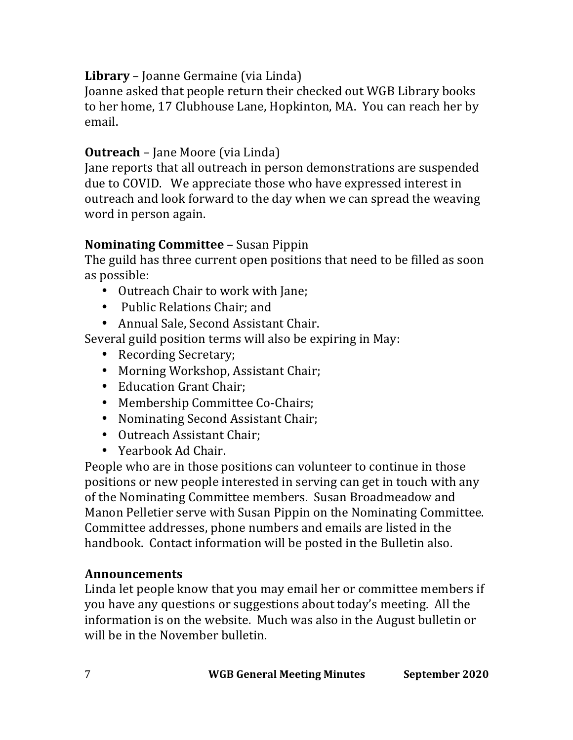# **Library** – Joanne Germaine (via Linda)

Joanne asked that people return their checked out WGB Library books to her home, 17 Clubhouse Lane, Hopkinton, MA. You can reach her by email.

# **Outreach** – Jane Moore (via Linda)

Jane reports that all outreach in person demonstrations are suspended due to COVID. We appreciate those who have expressed interest in outreach and look forward to the day when we can spread the weaving word in person again.

# **Nominating Committee** – Susan Pippin

The guild has three current open positions that need to be filled as soon as possible:

- Outreach Chair to work with Jane;
- Public Relations Chair; and
- Annual Sale, Second Assistant Chair.

Several guild position terms will also be expiring in May:

- Recording Secretary:
- Morning Workshop, Assistant Chair;
- Education Grant Chair:
- Membership Committee Co-Chairs;
- Nominating Second Assistant Chair;
- Outreach Assistant Chair:
- Yearbook Ad Chair.

People who are in those positions can volunteer to continue in those positions or new people interested in serving can get in touch with any of the Nominating Committee members. Susan Broadmeadow and Manon Pelletier serve with Susan Pippin on the Nominating Committee. Committee addresses, phone numbers and emails are listed in the handbook. Contact information will be posted in the Bulletin also.

## **Announcements**

Linda let people know that you may email her or committee members if you have any questions or suggestions about today's meeting. All the information is on the website. Much was also in the August bulletin or will be in the November bulletin.